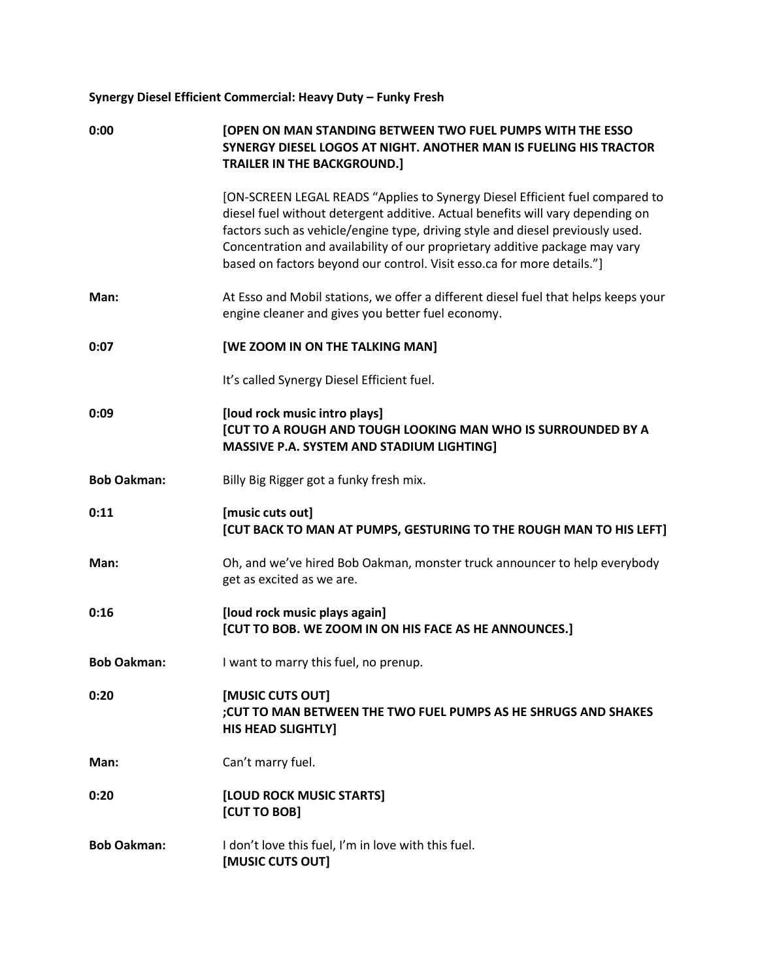## **Synergy Diesel Efficient Commercial: Heavy Duty – Funky Fresh**

| 0:00               | <b>[OPEN ON MAN STANDING BETWEEN TWO FUEL PUMPS WITH THE ESSO</b><br>SYNERGY DIESEL LOGOS AT NIGHT. ANOTHER MAN IS FUELING HIS TRACTOR<br><b>TRAILER IN THE BACKGROUND.]</b>                                                                                                                                                                                                                              |
|--------------------|-----------------------------------------------------------------------------------------------------------------------------------------------------------------------------------------------------------------------------------------------------------------------------------------------------------------------------------------------------------------------------------------------------------|
|                    | [ON-SCREEN LEGAL READS "Applies to Synergy Diesel Efficient fuel compared to<br>diesel fuel without detergent additive. Actual benefits will vary depending on<br>factors such as vehicle/engine type, driving style and diesel previously used.<br>Concentration and availability of our proprietary additive package may vary<br>based on factors beyond our control. Visit esso.ca for more details."] |
| Man:               | At Esso and Mobil stations, we offer a different diesel fuel that helps keeps your<br>engine cleaner and gives you better fuel economy.                                                                                                                                                                                                                                                                   |
| 0:07               | [WE ZOOM IN ON THE TALKING MAN]                                                                                                                                                                                                                                                                                                                                                                           |
|                    | It's called Synergy Diesel Efficient fuel.                                                                                                                                                                                                                                                                                                                                                                |
| 0:09               | [loud rock music intro plays]<br><b>[CUT TO A ROUGH AND TOUGH LOOKING MAN WHO IS SURROUNDED BY A</b><br>MASSIVE P.A. SYSTEM AND STADIUM LIGHTING]                                                                                                                                                                                                                                                         |
| <b>Bob Oakman:</b> | Billy Big Rigger got a funky fresh mix.                                                                                                                                                                                                                                                                                                                                                                   |
| 0:11               | [music cuts out]<br>[CUT BACK TO MAN AT PUMPS, GESTURING TO THE ROUGH MAN TO HIS LEFT]                                                                                                                                                                                                                                                                                                                    |
| Man:               | Oh, and we've hired Bob Oakman, monster truck announcer to help everybody<br>get as excited as we are.                                                                                                                                                                                                                                                                                                    |
| 0:16               | [loud rock music plays again]<br>[CUT TO BOB. WE ZOOM IN ON HIS FACE AS HE ANNOUNCES.]                                                                                                                                                                                                                                                                                                                    |
| <b>Bob Oakman:</b> | I want to marry this fuel, no prenup.                                                                                                                                                                                                                                                                                                                                                                     |
| 0:20               | [MUSIC CUTS OUT]<br>; CUT TO MAN BETWEEN THE TWO FUEL PUMPS AS HE SHRUGS AND SHAKES<br><b>HIS HEAD SLIGHTLY]</b>                                                                                                                                                                                                                                                                                          |
| Man:               | Can't marry fuel.                                                                                                                                                                                                                                                                                                                                                                                         |
| 0:20               | [LOUD ROCK MUSIC STARTS]<br>[CUT TO BOB]                                                                                                                                                                                                                                                                                                                                                                  |
| <b>Bob Oakman:</b> | I don't love this fuel, I'm in love with this fuel.<br>[MUSIC CUTS OUT]                                                                                                                                                                                                                                                                                                                                   |